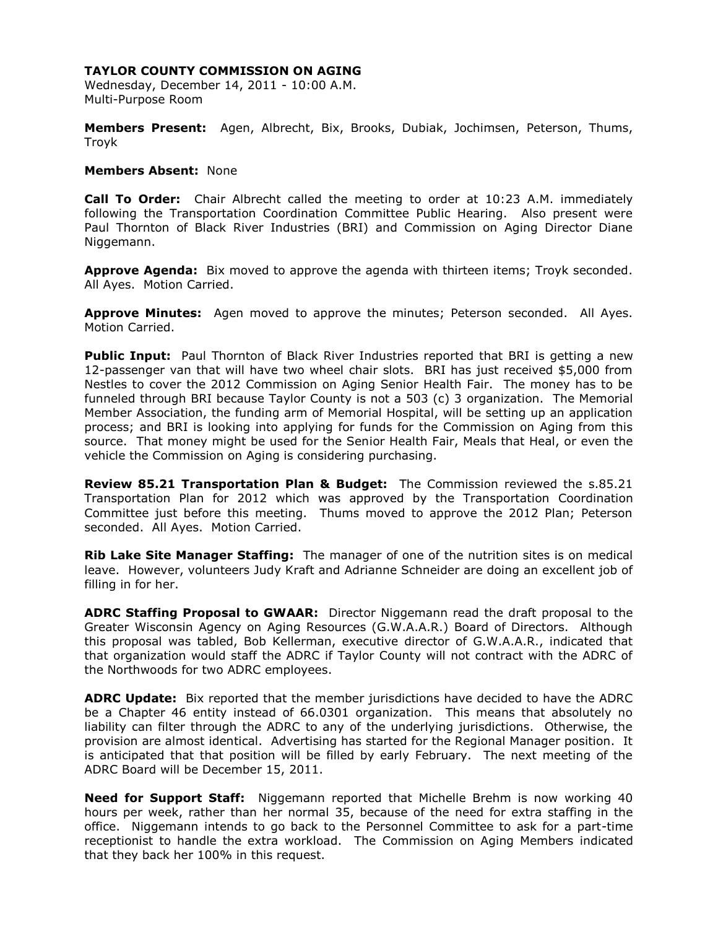Wednesday, December 14, 2011 - 10:00 A.M. Multi-Purpose Room

**Members Present:** Agen, Albrecht, Bix, Brooks, Dubiak, Jochimsen, Peterson, Thums, Troyk

#### **Members Absent:** None

**Call To Order:** Chair Albrecht called the meeting to order at 10:23 A.M. immediately following the Transportation Coordination Committee Public Hearing. Also present were Paul Thornton of Black River Industries (BRI) and Commission on Aging Director Diane Niggemann.

**Approve Agenda:** Bix moved to approve the agenda with thirteen items; Troyk seconded. All Ayes. Motion Carried.

**Approve Minutes:** Agen moved to approve the minutes; Peterson seconded. All Ayes. Motion Carried.

**Public Input:** Paul Thornton of Black River Industries reported that BRI is getting a new 12-passenger van that will have two wheel chair slots. BRI has just received \$5,000 from Nestles to cover the 2012 Commission on Aging Senior Health Fair. The money has to be funneled through BRI because Taylor County is not a 503 (c) 3 organization. The Memorial Member Association, the funding arm of Memorial Hospital, will be setting up an application process; and BRI is looking into applying for funds for the Commission on Aging from this source. That money might be used for the Senior Health Fair, Meals that Heal, or even the vehicle the Commission on Aging is considering purchasing.

**Review 85.21 Transportation Plan & Budget:** The Commission reviewed the s.85.21 Transportation Plan for 2012 which was approved by the Transportation Coordination Committee just before this meeting. Thums moved to approve the 2012 Plan; Peterson seconded. All Ayes. Motion Carried.

**Rib Lake Site Manager Staffing:** The manager of one of the nutrition sites is on medical leave. However, volunteers Judy Kraft and Adrianne Schneider are doing an excellent job of filling in for her.

**ADRC Staffing Proposal to GWAAR:** Director Niggemann read the draft proposal to the Greater Wisconsin Agency on Aging Resources (G.W.A.A.R.) Board of Directors. Although this proposal was tabled, Bob Kellerman, executive director of G.W.A.A.R., indicated that that organization would staff the ADRC if Taylor County will not contract with the ADRC of the Northwoods for two ADRC employees.

**ADRC Update:** Bix reported that the member jurisdictions have decided to have the ADRC be a Chapter 46 entity instead of 66.0301 organization. This means that absolutely no liability can filter through the ADRC to any of the underlying jurisdictions. Otherwise, the provision are almost identical. Advertising has started for the Regional Manager position. It is anticipated that that position will be filled by early February. The next meeting of the ADRC Board will be December 15, 2011.

**Need for Support Staff:** Niggemann reported that Michelle Brehm is now working 40 hours per week, rather than her normal 35, because of the need for extra staffing in the office. Niggemann intends to go back to the Personnel Committee to ask for a part-time receptionist to handle the extra workload. The Commission on Aging Members indicated that they back her 100% in this request.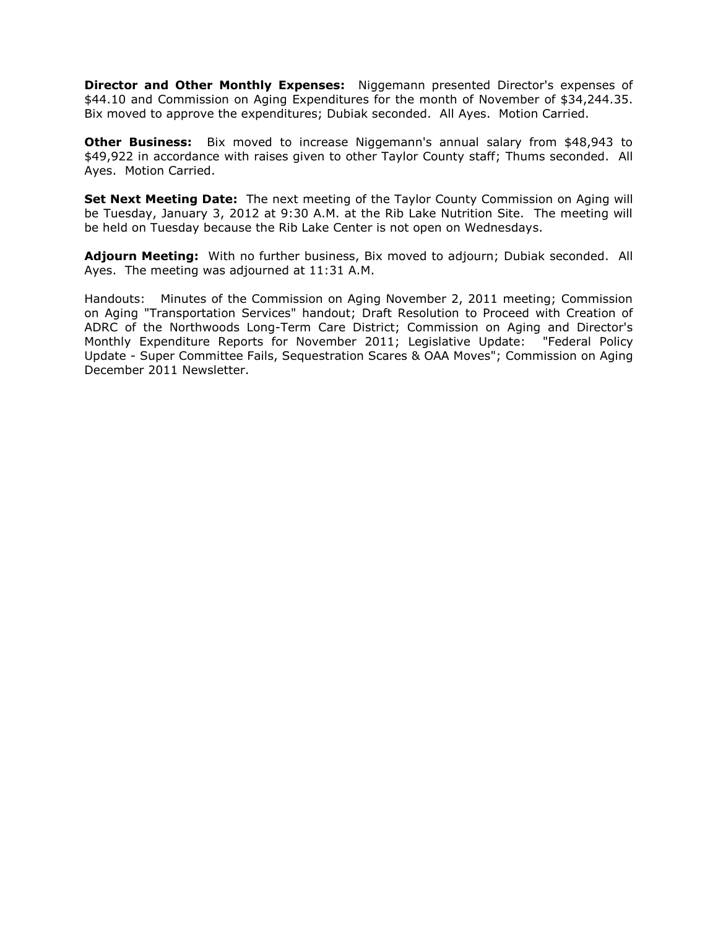**Director and Other Monthly Expenses:** Niggemann presented Director's expenses of \$44.10 and Commission on Aging Expenditures for the month of November of \$34,244.35. Bix moved to approve the expenditures; Dubiak seconded. All Ayes. Motion Carried.

**Other Business:** Bix moved to increase Niggemann's annual salary from \$48,943 to \$49,922 in accordance with raises given to other Taylor County staff; Thums seconded. All Ayes. Motion Carried.

**Set Next Meeting Date:** The next meeting of the Taylor County Commission on Aging will be Tuesday, January 3, 2012 at 9:30 A.M. at the Rib Lake Nutrition Site. The meeting will be held on Tuesday because the Rib Lake Center is not open on Wednesdays.

**Adjourn Meeting:** With no further business, Bix moved to adjourn; Dubiak seconded. All Ayes. The meeting was adjourned at 11:31 A.M.

Handouts: Minutes of the Commission on Aging November 2, 2011 meeting; Commission on Aging "Transportation Services" handout; Draft Resolution to Proceed with Creation of ADRC of the Northwoods Long-Term Care District; Commission on Aging and Director's Monthly Expenditure Reports for November 2011; Legislative Update: "Federal Policy Update - Super Committee Fails, Sequestration Scares & OAA Moves"; Commission on Aging December 2011 Newsletter.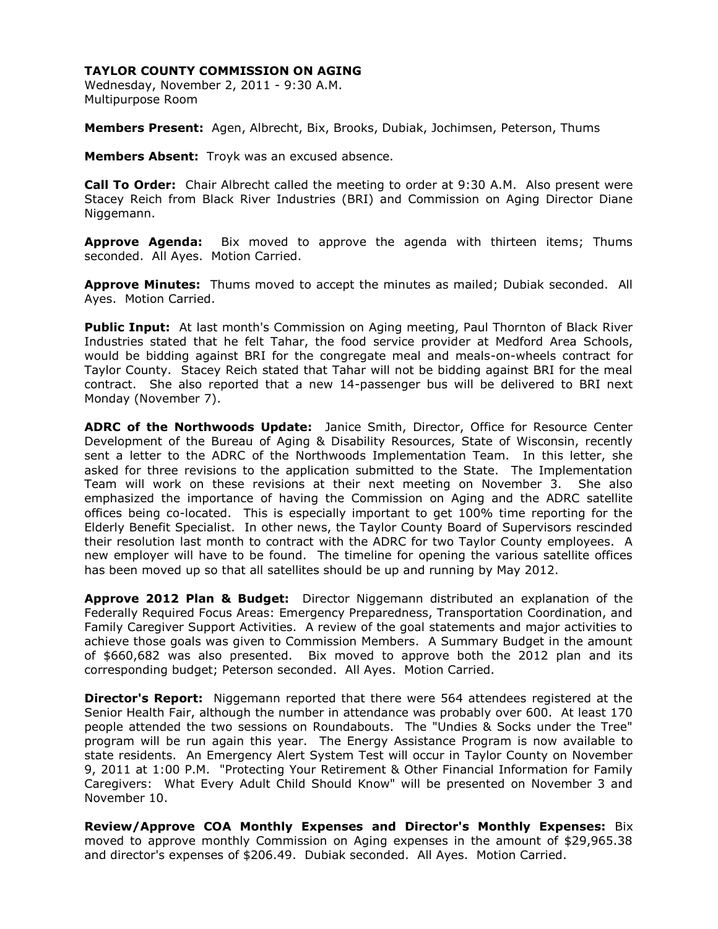Wednesday, November 2, 2011 - 9:30 A.M. Multipurpose Room

**Members Present:** Agen, Albrecht, Bix, Brooks, Dubiak, Jochimsen, Peterson, Thums

**Members Absent:** Troyk was an excused absence.

**Call To Order:** Chair Albrecht called the meeting to order at 9:30 A.M. Also present were Stacey Reich from Black River Industries (BRI) and Commission on Aging Director Diane Niggemann.

**Approve Agenda:** Bix moved to approve the agenda with thirteen items; Thums seconded. All Ayes. Motion Carried.

**Approve Minutes:** Thums moved to accept the minutes as mailed; Dubiak seconded. All Ayes. Motion Carried.

**Public Input:** At last month's Commission on Aging meeting, Paul Thornton of Black River Industries stated that he felt Tahar, the food service provider at Medford Area Schools, would be bidding against BRI for the congregate meal and meals-on-wheels contract for Taylor County. Stacey Reich stated that Tahar will not be bidding against BRI for the meal contract. She also reported that a new 14-passenger bus will be delivered to BRI next Monday (November 7).

**ADRC of the Northwoods Update:** Janice Smith, Director, Office for Resource Center Development of the Bureau of Aging & Disability Resources, State of Wisconsin, recently sent a letter to the ADRC of the Northwoods Implementation Team. In this letter, she asked for three revisions to the application submitted to the State. The Implementation Team will work on these revisions at their next meeting on November 3. She also emphasized the importance of having the Commission on Aging and the ADRC satellite offices being co-located. This is especially important to get 100% time reporting for the Elderly Benefit Specialist. In other news, the Taylor County Board of Supervisors rescinded their resolution last month to contract with the ADRC for two Taylor County employees. A new employer will have to be found. The timeline for opening the various satellite offices has been moved up so that all satellites should be up and running by May 2012.

**Approve 2012 Plan & Budget:** Director Niggemann distributed an explanation of the Federally Required Focus Areas: Emergency Preparedness, Transportation Coordination, and Family Caregiver Support Activities. A review of the goal statements and major activities to achieve those goals was given to Commission Members. A Summary Budget in the amount of \$660,682 was also presented. Bix moved to approve both the 2012 plan and its corresponding budget; Peterson seconded. All Ayes. Motion Carried.

**Director's Report:** Niggemann reported that there were 564 attendees registered at the Senior Health Fair, although the number in attendance was probably over 600. At least 170 people attended the two sessions on Roundabouts. The "Undies & Socks under the Tree" program will be run again this year. The Energy Assistance Program is now available to state residents. An Emergency Alert System Test will occur in Taylor County on November 9, 2011 at 1:00 P.M. "Protecting Your Retirement & Other Financial Information for Family Caregivers: What Every Adult Child Should Know" will be presented on November 3 and November 10.

**Review/Approve COA Monthly Expenses and Director's Monthly Expenses:** Bix moved to approve monthly Commission on Aging expenses in the amount of \$29,965.38 and director's expenses of \$206.49. Dubiak seconded. All Ayes. Motion Carried.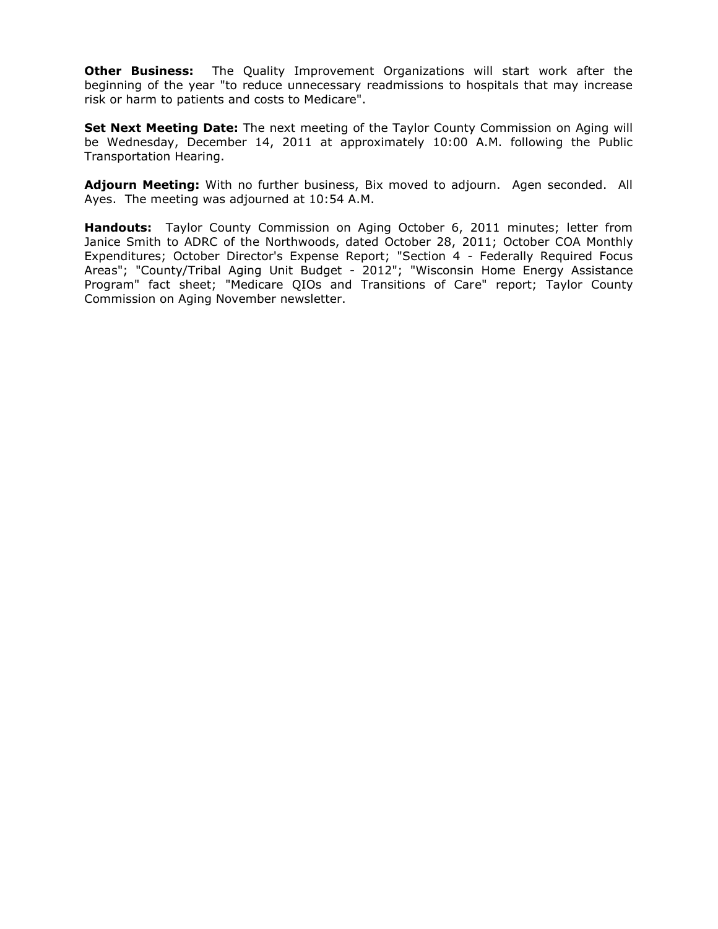**Other Business:** The Quality Improvement Organizations will start work after the beginning of the year "to reduce unnecessary readmissions to hospitals that may increase risk or harm to patients and costs to Medicare".

**Set Next Meeting Date:** The next meeting of the Taylor County Commission on Aging will be Wednesday, December 14, 2011 at approximately 10:00 A.M. following the Public Transportation Hearing.

**Adjourn Meeting:** With no further business, Bix moved to adjourn. Agen seconded. All Ayes. The meeting was adjourned at 10:54 A.M.

**Handouts:** Taylor County Commission on Aging October 6, 2011 minutes; letter from Janice Smith to ADRC of the Northwoods, dated October 28, 2011; October COA Monthly Expenditures; October Director's Expense Report; "Section 4 - Federally Required Focus Areas"; "County/Tribal Aging Unit Budget - 2012"; "Wisconsin Home Energy Assistance Program" fact sheet; "Medicare QIOs and Transitions of Care" report; Taylor County Commission on Aging November newsletter.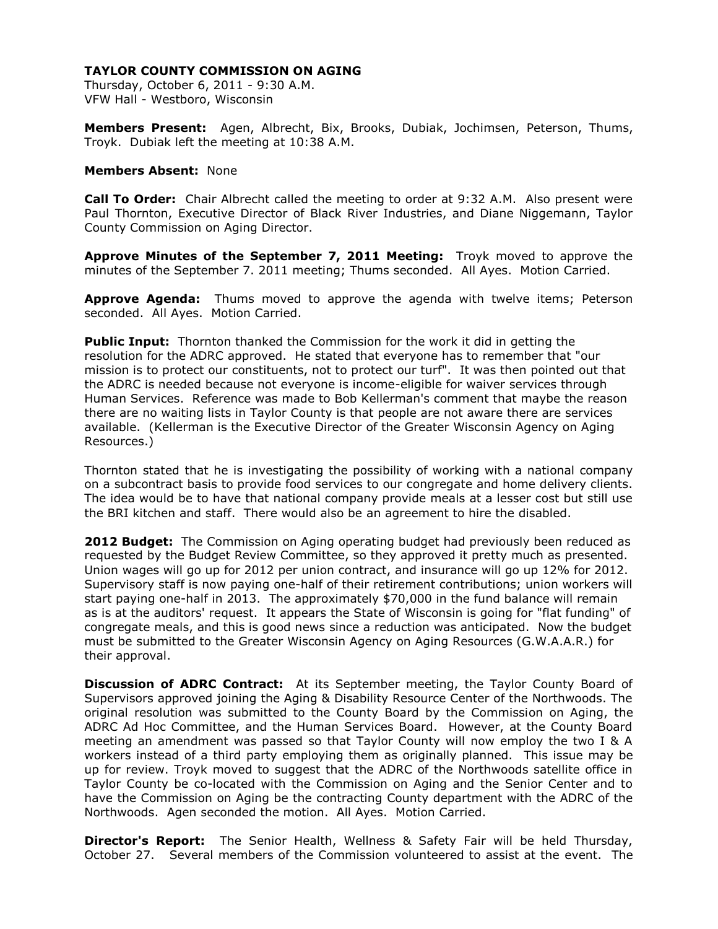Thursday, October 6, 2011 - 9:30 A.M. VFW Hall - Westboro, Wisconsin

**Members Present:** Agen, Albrecht, Bix, Brooks, Dubiak, Jochimsen, Peterson, Thums, Troyk. Dubiak left the meeting at 10:38 A.M.

### **Members Absent:** None

**Call To Order:** Chair Albrecht called the meeting to order at 9:32 A.M. Also present were Paul Thornton, Executive Director of Black River Industries, and Diane Niggemann, Taylor County Commission on Aging Director.

**Approve Minutes of the September 7, 2011 Meeting:** Troyk moved to approve the minutes of the September 7. 2011 meeting; Thums seconded. All Ayes. Motion Carried.

**Approve Agenda:** Thums moved to approve the agenda with twelve items; Peterson seconded. All Ayes. Motion Carried.

**Public Input:** Thornton thanked the Commission for the work it did in getting the resolution for the ADRC approved. He stated that everyone has to remember that "our mission is to protect our constituents, not to protect our turf". It was then pointed out that the ADRC is needed because not everyone is income-eligible for waiver services through Human Services. Reference was made to Bob Kellerman's comment that maybe the reason there are no waiting lists in Taylor County is that people are not aware there are services available. (Kellerman is the Executive Director of the Greater Wisconsin Agency on Aging Resources.)

Thornton stated that he is investigating the possibility of working with a national company on a subcontract basis to provide food services to our congregate and home delivery clients. The idea would be to have that national company provide meals at a lesser cost but still use the BRI kitchen and staff. There would also be an agreement to hire the disabled.

**2012 Budget:** The Commission on Aging operating budget had previously been reduced as requested by the Budget Review Committee, so they approved it pretty much as presented. Union wages will go up for 2012 per union contract, and insurance will go up 12% for 2012. Supervisory staff is now paying one-half of their retirement contributions; union workers will start paying one-half in 2013. The approximately \$70,000 in the fund balance will remain as is at the auditors' request. It appears the State of Wisconsin is going for "flat funding" of congregate meals, and this is good news since a reduction was anticipated. Now the budget must be submitted to the Greater Wisconsin Agency on Aging Resources (G.W.A.A.R.) for their approval.

**Discussion of ADRC Contract:** At its September meeting, the Taylor County Board of Supervisors approved joining the Aging & Disability Resource Center of the Northwoods. The original resolution was submitted to the County Board by the Commission on Aging, the ADRC Ad Hoc Committee, and the Human Services Board. However, at the County Board meeting an amendment was passed so that Taylor County will now employ the two I & A workers instead of a third party employing them as originally planned. This issue may be up for review. Troyk moved to suggest that the ADRC of the Northwoods satellite office in Taylor County be co-located with the Commission on Aging and the Senior Center and to have the Commission on Aging be the contracting County department with the ADRC of the Northwoods. Agen seconded the motion. All Ayes. Motion Carried.

**Director's Report:** The Senior Health, Wellness & Safety Fair will be held Thursday, October 27. Several members of the Commission volunteered to assist at the event. The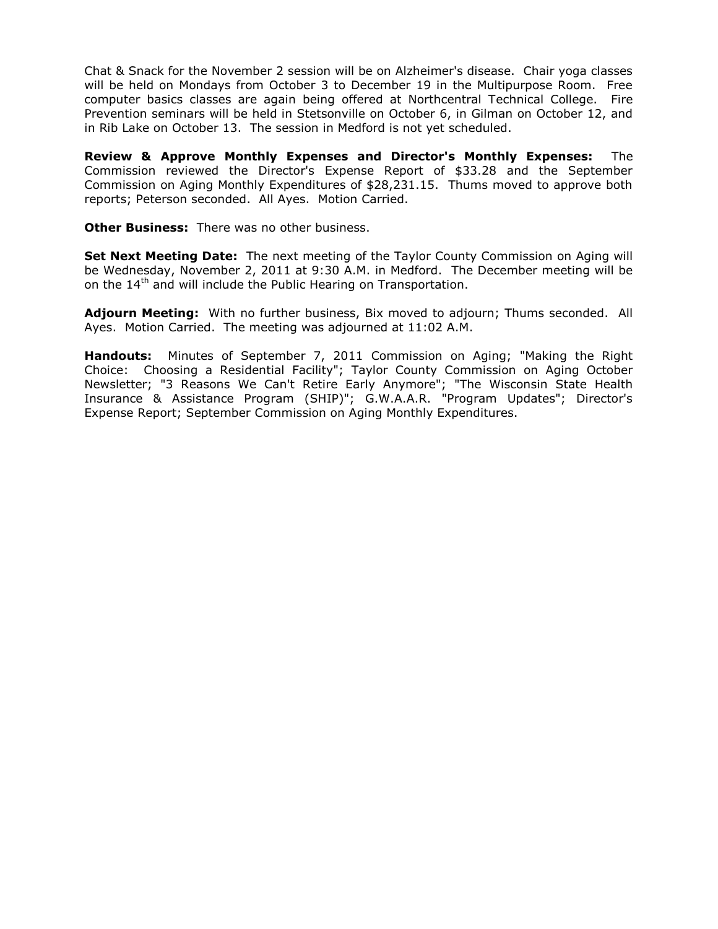Chat & Snack for the November 2 session will be on Alzheimer's disease. Chair yoga classes will be held on Mondays from October 3 to December 19 in the Multipurpose Room. Free computer basics classes are again being offered at Northcentral Technical College. Fire Prevention seminars will be held in Stetsonville on October 6, in Gilman on October 12, and in Rib Lake on October 13. The session in Medford is not yet scheduled.

**Review & Approve Monthly Expenses and Director's Monthly Expenses:** The Commission reviewed the Director's Expense Report of \$33.28 and the September Commission on Aging Monthly Expenditures of \$28,231.15. Thums moved to approve both reports; Peterson seconded. All Ayes. Motion Carried.

**Other Business:** There was no other business.

**Set Next Meeting Date:** The next meeting of the Taylor County Commission on Aging will be Wednesday, November 2, 2011 at 9:30 A.M. in Medford. The December meeting will be on the 14<sup>th</sup> and will include the Public Hearing on Transportation.

**Adjourn Meeting:** With no further business, Bix moved to adjourn; Thums seconded. All Ayes. Motion Carried. The meeting was adjourned at 11:02 A.M.

**Handouts:** Minutes of September 7, 2011 Commission on Aging; "Making the Right Choice: Choosing a Residential Facility"; Taylor County Commission on Aging October Newsletter; "3 Reasons We Can't Retire Early Anymore"; "The Wisconsin State Health Insurance & Assistance Program (SHIP)"; G.W.A.A.R. "Program Updates"; Director's Expense Report; September Commission on Aging Monthly Expenditures.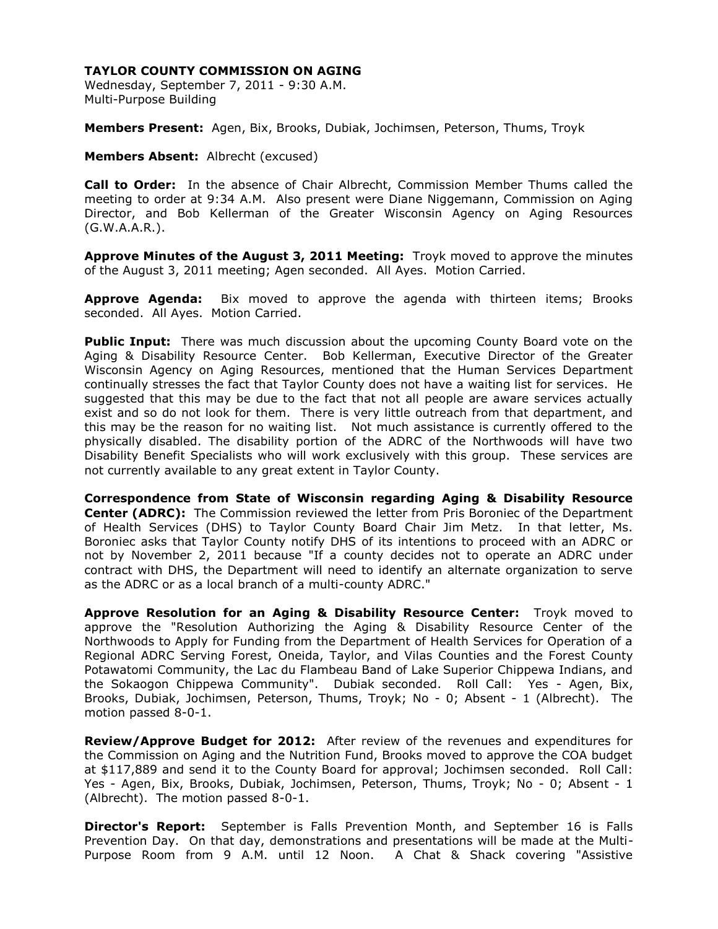Wednesday, September 7, 2011 - 9:30 A.M. Multi-Purpose Building

**Members Present:** Agen, Bix, Brooks, Dubiak, Jochimsen, Peterson, Thums, Troyk

**Members Absent:** Albrecht (excused)

**Call to Order:** In the absence of Chair Albrecht, Commission Member Thums called the meeting to order at 9:34 A.M. Also present were Diane Niggemann, Commission on Aging Director, and Bob Kellerman of the Greater Wisconsin Agency on Aging Resources (G.W.A.A.R.).

**Approve Minutes of the August 3, 2011 Meeting:** Troyk moved to approve the minutes of the August 3, 2011 meeting; Agen seconded. All Ayes. Motion Carried.

**Approve Agenda:** Bix moved to approve the agenda with thirteen items; Brooks seconded. All Ayes. Motion Carried.

**Public Input:** There was much discussion about the upcoming County Board vote on the Aging & Disability Resource Center. Bob Kellerman, Executive Director of the Greater Wisconsin Agency on Aging Resources, mentioned that the Human Services Department continually stresses the fact that Taylor County does not have a waiting list for services. He suggested that this may be due to the fact that not all people are aware services actually exist and so do not look for them. There is very little outreach from that department, and this may be the reason for no waiting list. Not much assistance is currently offered to the physically disabled. The disability portion of the ADRC of the Northwoods will have two Disability Benefit Specialists who will work exclusively with this group. These services are not currently available to any great extent in Taylor County.

**Correspondence from State of Wisconsin regarding Aging & Disability Resource Center (ADRC):** The Commission reviewed the letter from Pris Boroniec of the Department of Health Services (DHS) to Taylor County Board Chair Jim Metz. In that letter, Ms. Boroniec asks that Taylor County notify DHS of its intentions to proceed with an ADRC or not by November 2, 2011 because "If a county decides not to operate an ADRC under contract with DHS, the Department will need to identify an alternate organization to serve as the ADRC or as a local branch of a multi-county ADRC."

**Approve Resolution for an Aging & Disability Resource Center:** Troyk moved to approve the "Resolution Authorizing the Aging & Disability Resource Center of the Northwoods to Apply for Funding from the Department of Health Services for Operation of a Regional ADRC Serving Forest, Oneida, Taylor, and Vilas Counties and the Forest County Potawatomi Community, the Lac du Flambeau Band of Lake Superior Chippewa Indians, and the Sokaogon Chippewa Community". Dubiak seconded. Roll Call: Yes - Agen, Bix, Brooks, Dubiak, Jochimsen, Peterson, Thums, Troyk; No - 0; Absent - 1 (Albrecht). The motion passed 8-0-1.

**Review/Approve Budget for 2012:** After review of the revenues and expenditures for the Commission on Aging and the Nutrition Fund, Brooks moved to approve the COA budget at \$117,889 and send it to the County Board for approval; Jochimsen seconded. Roll Call: Yes - Agen, Bix, Brooks, Dubiak, Jochimsen, Peterson, Thums, Troyk; No - 0; Absent - 1 (Albrecht). The motion passed 8-0-1.

**Director's Report:** September is Falls Prevention Month, and September 16 is Falls Prevention Day. On that day, demonstrations and presentations will be made at the Multi-Purpose Room from 9 A.M. until 12 Noon. A Chat & Shack covering "Assistive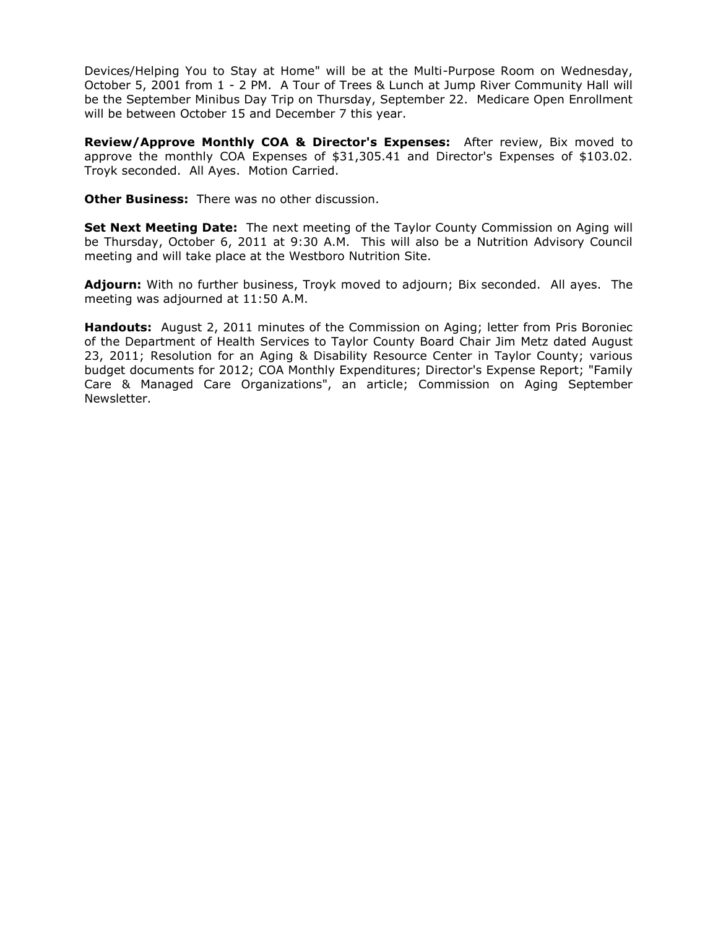Devices/Helping You to Stay at Home" will be at the Multi-Purpose Room on Wednesday, October 5, 2001 from 1 - 2 PM. A Tour of Trees & Lunch at Jump River Community Hall will be the September Minibus Day Trip on Thursday, September 22. Medicare Open Enrollment will be between October 15 and December 7 this year.

**Review/Approve Monthly COA & Director's Expenses:** After review, Bix moved to approve the monthly COA Expenses of \$31,305.41 and Director's Expenses of \$103.02. Troyk seconded. All Ayes. Motion Carried.

**Other Business:** There was no other discussion.

**Set Next Meeting Date:** The next meeting of the Taylor County Commission on Aging will be Thursday, October 6, 2011 at 9:30 A.M. This will also be a Nutrition Advisory Council meeting and will take place at the Westboro Nutrition Site.

**Adjourn:** With no further business, Troyk moved to adjourn; Bix seconded. All ayes. The meeting was adjourned at 11:50 A.M.

**Handouts:** August 2, 2011 minutes of the Commission on Aging; letter from Pris Boroniec of the Department of Health Services to Taylor County Board Chair Jim Metz dated August 23, 2011; Resolution for an Aging & Disability Resource Center in Taylor County; various budget documents for 2012; COA Monthly Expenditures; Director's Expense Report; "Family Care & Managed Care Organizations", an article; Commission on Aging September Newsletter.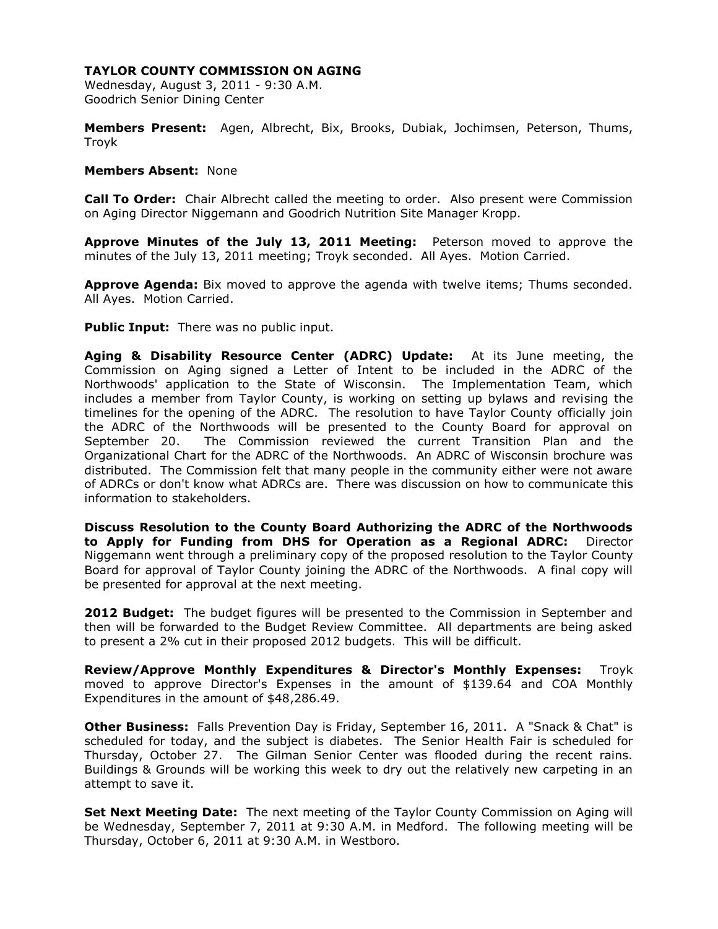Wednesday, August 3, 2011 - 9:30 A.M. Goodrich Senior Dining Center

**Members Present:** Agen, Albrecht, Bix, Brooks, Dubiak, Jochimsen, Peterson, Thums, Troyk

### **Members Absent:** None

**Call To Order:** Chair Albrecht called the meeting to order. Also present were Commission on Aging Director Niggemann and Goodrich Nutrition Site Manager Kropp.

**Approve Minutes of the July 13, 2011 Meeting:** Peterson moved to approve the minutes of the July 13, 2011 meeting; Troyk seconded. All Ayes. Motion Carried.

**Approve Agenda:** Bix moved to approve the agenda with twelve items; Thums seconded. All Ayes. Motion Carried.

**Public Input:** There was no public input.

**Aging & Disability Resource Center (ADRC) Update:** At its June meeting, the Commission on Aging signed a Letter of Intent to be included in the ADRC of the Northwoods' application to the State of Wisconsin. The Implementation Team, which includes a member from Taylor County, is working on setting up bylaws and revising the timelines for the opening of the ADRC. The resolution to have Taylor County officially join the ADRC of the Northwoods will be presented to the County Board for approval on September 20. The Commission reviewed the current Transition Plan and the Organizational Chart for the ADRC of the Northwoods. An ADRC of Wisconsin brochure was distributed. The Commission felt that many people in the community either were not aware of ADRCs or don't know what ADRCs are. There was discussion on how to communicate this information to stakeholders.

**Discuss Resolution to the County Board Authorizing the ADRC of the Northwoods to Apply for Funding from DHS for Operation as a Regional ADRC:** Director Niggemann went through a preliminary copy of the proposed resolution to the Taylor County Board for approval of Taylor County joining the ADRC of the Northwoods. A final copy will be presented for approval at the next meeting.

**2012 Budget:** The budget figures will be presented to the Commission in September and then will be forwarded to the Budget Review Committee. All departments are being asked to present a 2% cut in their proposed 2012 budgets. This will be difficult.

**Review/Approve Monthly Expenditures & Director's Monthly Expenses:** Troyk moved to approve Director's Expenses in the amount of \$139.64 and COA Monthly Expenditures in the amount of \$48,286.49.

**Other Business:** Falls Prevention Day is Friday, September 16, 2011. A "Snack & Chat" is scheduled for today, and the subject is diabetes. The Senior Health Fair is scheduled for Thursday, October 27. The Gilman Senior Center was flooded during the recent rains. Buildings & Grounds will be working this week to dry out the relatively new carpeting in an attempt to save it.

**Set Next Meeting Date:** The next meeting of the Taylor County Commission on Aging will be Wednesday, September 7, 2011 at 9:30 A.M. in Medford. The following meeting will be Thursday, October 6, 2011 at 9:30 A.M. in Westboro.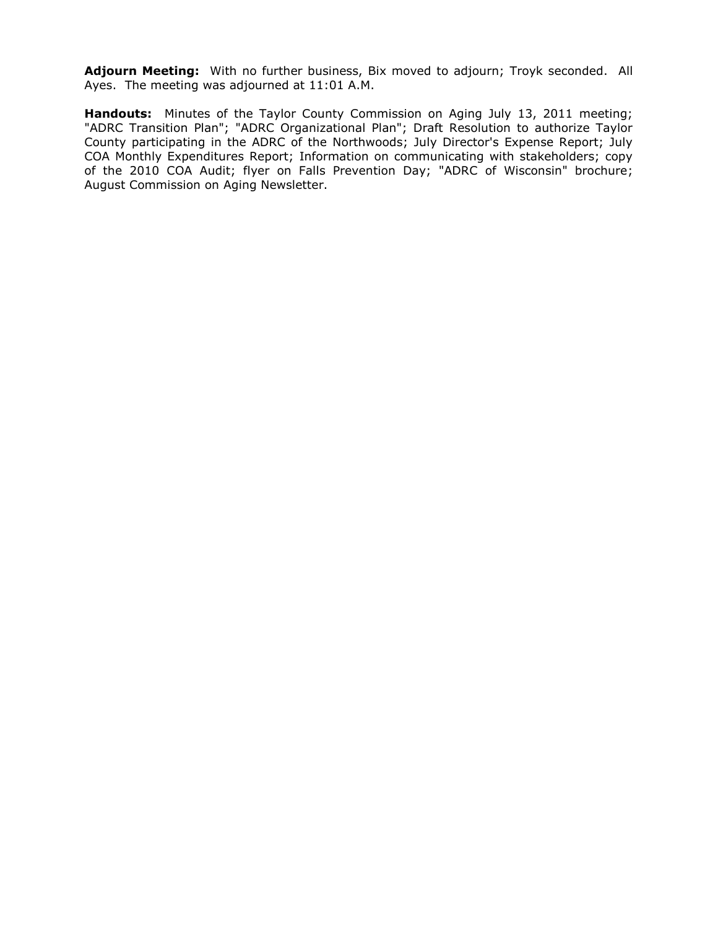**Adjourn Meeting:** With no further business, Bix moved to adjourn; Troyk seconded. All Ayes. The meeting was adjourned at 11:01 A.M.

**Handouts:** Minutes of the Taylor County Commission on Aging July 13, 2011 meeting; "ADRC Transition Plan"; "ADRC Organizational Plan"; Draft Resolution to authorize Taylor County participating in the ADRC of the Northwoods; July Director's Expense Report; July COA Monthly Expenditures Report; Information on communicating with stakeholders; copy of the 2010 COA Audit; flyer on Falls Prevention Day; "ADRC of Wisconsin" brochure; August Commission on Aging Newsletter.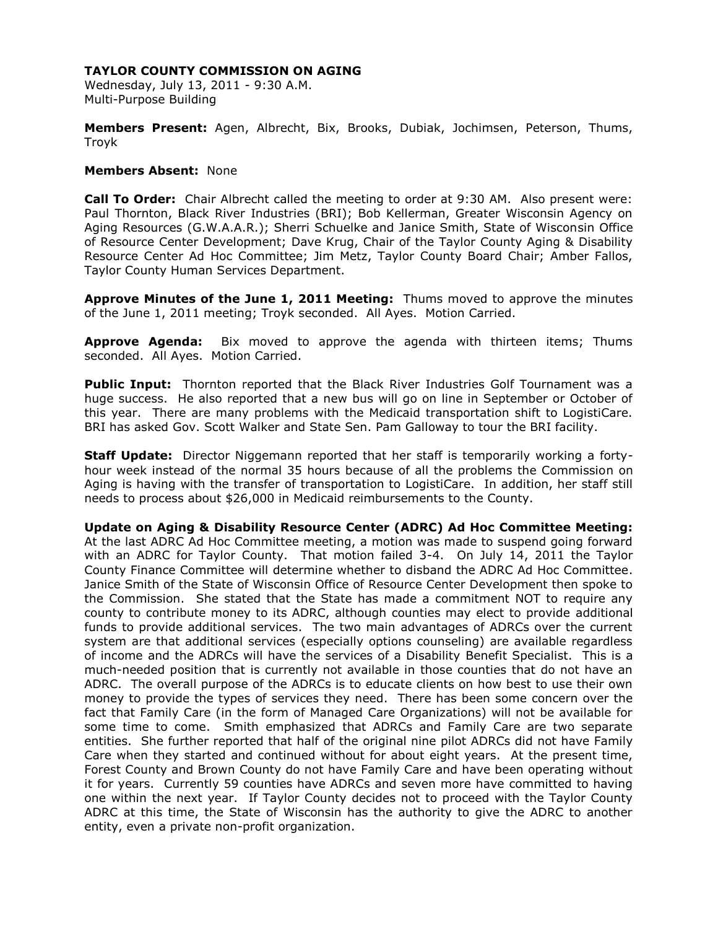Wednesday, July 13, 2011 - 9:30 A.M. Multi-Purpose Building

**Members Present:** Agen, Albrecht, Bix, Brooks, Dubiak, Jochimsen, Peterson, Thums, Troyk

### **Members Absent:** None

**Call To Order:** Chair Albrecht called the meeting to order at 9:30 AM. Also present were: Paul Thornton, Black River Industries (BRI); Bob Kellerman, Greater Wisconsin Agency on Aging Resources (G.W.A.A.R.); Sherri Schuelke and Janice Smith, State of Wisconsin Office of Resource Center Development; Dave Krug, Chair of the Taylor County Aging & Disability Resource Center Ad Hoc Committee; Jim Metz, Taylor County Board Chair; Amber Fallos, Taylor County Human Services Department.

**Approve Minutes of the June 1, 2011 Meeting:** Thums moved to approve the minutes of the June 1, 2011 meeting; Troyk seconded. All Ayes. Motion Carried.

**Approve Agenda:** Bix moved to approve the agenda with thirteen items; Thums seconded. All Ayes. Motion Carried.

**Public Input:** Thornton reported that the Black River Industries Golf Tournament was a huge success. He also reported that a new bus will go on line in September or October of this year. There are many problems with the Medicaid transportation shift to LogistiCare. BRI has asked Gov. Scott Walker and State Sen. Pam Galloway to tour the BRI facility.

**Staff Update:** Director Niggemann reported that her staff is temporarily working a fortyhour week instead of the normal 35 hours because of all the problems the Commission on Aging is having with the transfer of transportation to LogistiCare. In addition, her staff still needs to process about \$26,000 in Medicaid reimbursements to the County.

**Update on Aging & Disability Resource Center (ADRC) Ad Hoc Committee Meeting:**  At the last ADRC Ad Hoc Committee meeting, a motion was made to suspend going forward with an ADRC for Taylor County. That motion failed 3-4. On July 14, 2011 the Taylor County Finance Committee will determine whether to disband the ADRC Ad Hoc Committee. Janice Smith of the State of Wisconsin Office of Resource Center Development then spoke to the Commission. She stated that the State has made a commitment NOT to require any county to contribute money to its ADRC, although counties may elect to provide additional funds to provide additional services. The two main advantages of ADRCs over the current system are that additional services (especially options counseling) are available regardless of income and the ADRCs will have the services of a Disability Benefit Specialist. This is a much-needed position that is currently not available in those counties that do not have an ADRC. The overall purpose of the ADRCs is to educate clients on how best to use their own money to provide the types of services they need. There has been some concern over the fact that Family Care (in the form of Managed Care Organizations) will not be available for some time to come. Smith emphasized that ADRCs and Family Care are two separate entities. She further reported that half of the original nine pilot ADRCs did not have Family Care when they started and continued without for about eight years. At the present time, Forest County and Brown County do not have Family Care and have been operating without it for years. Currently 59 counties have ADRCs and seven more have committed to having one within the next year. If Taylor County decides not to proceed with the Taylor County ADRC at this time, the State of Wisconsin has the authority to give the ADRC to another entity, even a private non-profit organization.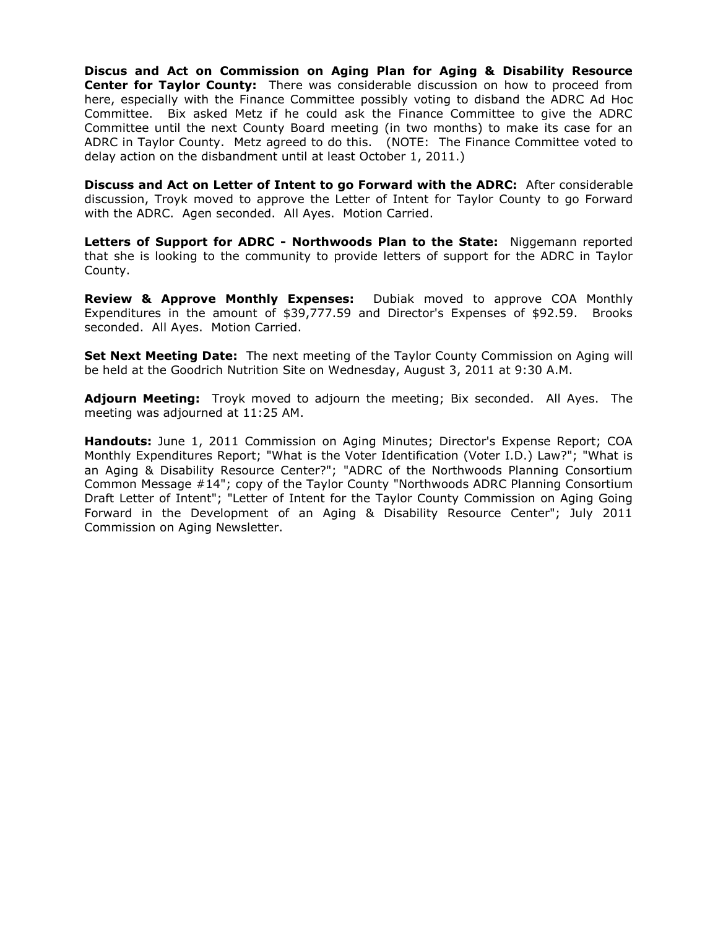**Discus and Act on Commission on Aging Plan for Aging & Disability Resource Center for Taylor County:** There was considerable discussion on how to proceed from here, especially with the Finance Committee possibly voting to disband the ADRC Ad Hoc Committee. Bix asked Metz if he could ask the Finance Committee to give the ADRC Committee until the next County Board meeting (in two months) to make its case for an ADRC in Taylor County. Metz agreed to do this. (NOTE: The Finance Committee voted to delay action on the disbandment until at least October 1, 2011.)

**Discuss and Act on Letter of Intent to go Forward with the ADRC:** After considerable discussion, Troyk moved to approve the Letter of Intent for Taylor County to go Forward with the ADRC. Agen seconded. All Ayes. Motion Carried.

**Letters of Support for ADRC - Northwoods Plan to the State:** Niggemann reported that she is looking to the community to provide letters of support for the ADRC in Taylor County.

**Review & Approve Monthly Expenses:** Dubiak moved to approve COA Monthly Expenditures in the amount of \$39,777.59 and Director's Expenses of \$92.59. Brooks seconded. All Ayes. Motion Carried.

**Set Next Meeting Date:** The next meeting of the Taylor County Commission on Aging will be held at the Goodrich Nutrition Site on Wednesday, August 3, 2011 at 9:30 A.M.

**Adjourn Meeting:** Troyk moved to adjourn the meeting; Bix seconded. All Ayes. The meeting was adjourned at 11:25 AM.

**Handouts:** June 1, 2011 Commission on Aging Minutes; Director's Expense Report; COA Monthly Expenditures Report; "What is the Voter Identification (Voter I.D.) Law?"; "What is an Aging & Disability Resource Center?"; "ADRC of the Northwoods Planning Consortium Common Message #14"; copy of the Taylor County "Northwoods ADRC Planning Consortium Draft Letter of Intent"; "Letter of Intent for the Taylor County Commission on Aging Going Forward in the Development of an Aging & Disability Resource Center"; July 2011 Commission on Aging Newsletter.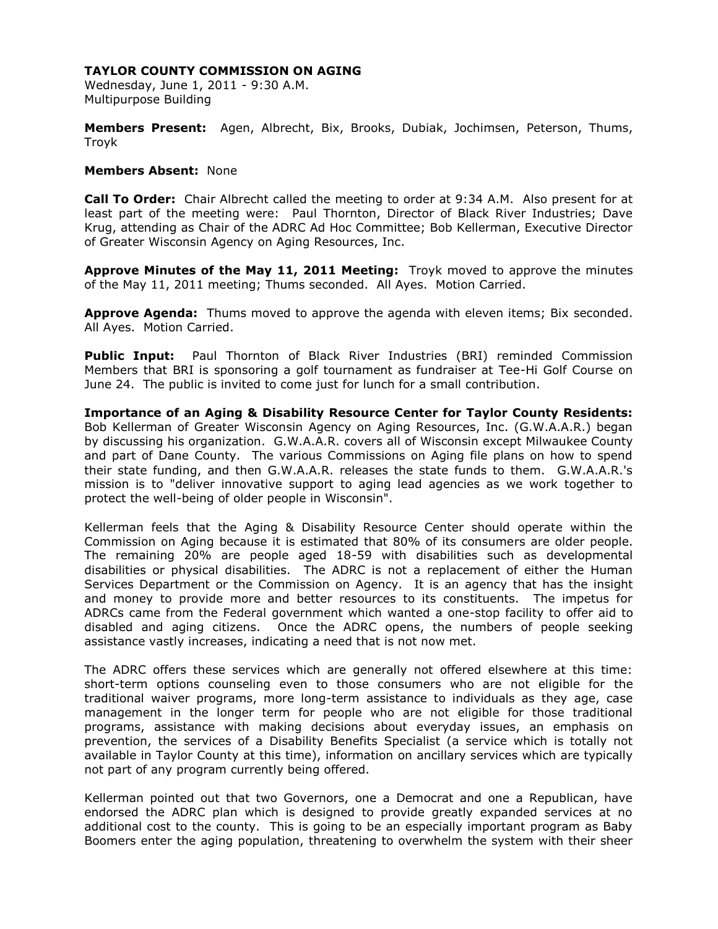Wednesday, June 1, 2011 - 9:30 A.M. Multipurpose Building

**Members Present:** Agen, Albrecht, Bix, Brooks, Dubiak, Jochimsen, Peterson, Thums, Troyk

### **Members Absent:** None

**Call To Order:** Chair Albrecht called the meeting to order at 9:34 A.M. Also present for at least part of the meeting were: Paul Thornton, Director of Black River Industries; Dave Krug, attending as Chair of the ADRC Ad Hoc Committee; Bob Kellerman, Executive Director of Greater Wisconsin Agency on Aging Resources, Inc.

**Approve Minutes of the May 11, 2011 Meeting:** Troyk moved to approve the minutes of the May 11, 2011 meeting; Thums seconded. All Ayes. Motion Carried.

**Approve Agenda:** Thums moved to approve the agenda with eleven items; Bix seconded. All Ayes. Motion Carried.

**Public Input:** Paul Thornton of Black River Industries (BRI) reminded Commission Members that BRI is sponsoring a golf tournament as fundraiser at Tee-Hi Golf Course on June 24. The public is invited to come just for lunch for a small contribution.

**Importance of an Aging & Disability Resource Center for Taylor County Residents:**  Bob Kellerman of Greater Wisconsin Agency on Aging Resources, Inc. (G.W.A.A.R.) began by discussing his organization. G.W.A.A.R. covers all of Wisconsin except Milwaukee County and part of Dane County. The various Commissions on Aging file plans on how to spend their state funding, and then G.W.A.A.R. releases the state funds to them. G.W.A.A.R.'s mission is to "deliver innovative support to aging lead agencies as we work together to protect the well-being of older people in Wisconsin".

Kellerman feels that the Aging & Disability Resource Center should operate within the Commission on Aging because it is estimated that 80% of its consumers are older people. The remaining 20% are people aged 18-59 with disabilities such as developmental disabilities or physical disabilities. The ADRC is not a replacement of either the Human Services Department or the Commission on Agency. It is an agency that has the insight and money to provide more and better resources to its constituents. The impetus for ADRCs came from the Federal government which wanted a one-stop facility to offer aid to disabled and aging citizens. Once the ADRC opens, the numbers of people seeking assistance vastly increases, indicating a need that is not now met.

The ADRC offers these services which are generally not offered elsewhere at this time: short-term options counseling even to those consumers who are not eligible for the traditional waiver programs, more long-term assistance to individuals as they age, case management in the longer term for people who are not eligible for those traditional programs, assistance with making decisions about everyday issues, an emphasis on prevention, the services of a Disability Benefits Specialist (a service which is totally not available in Taylor County at this time), information on ancillary services which are typically not part of any program currently being offered.

Kellerman pointed out that two Governors, one a Democrat and one a Republican, have endorsed the ADRC plan which is designed to provide greatly expanded services at no additional cost to the county. This is going to be an especially important program as Baby Boomers enter the aging population, threatening to overwhelm the system with their sheer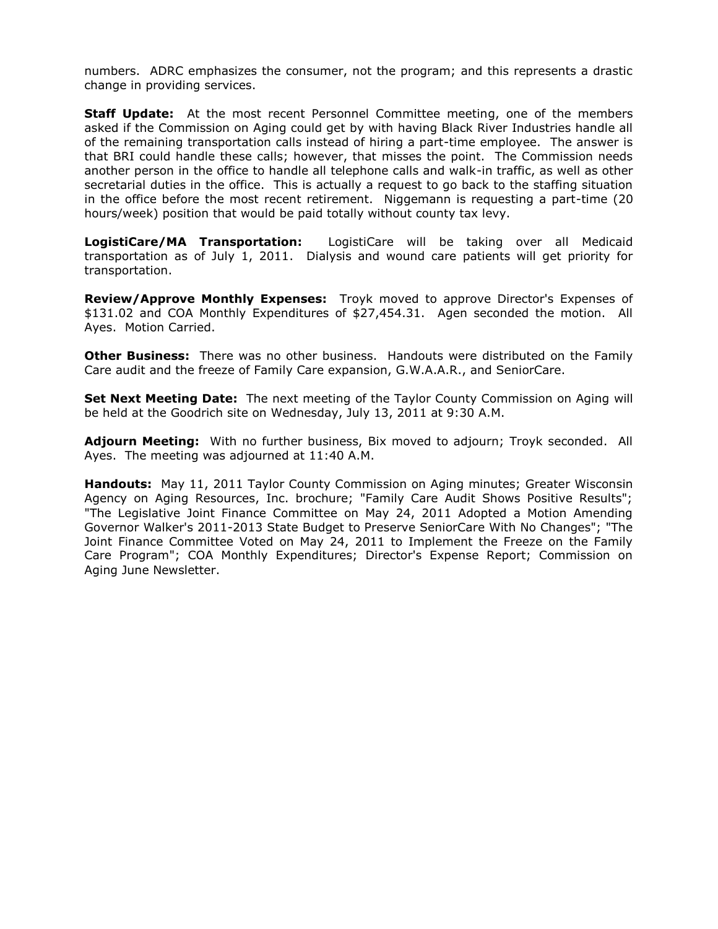numbers. ADRC emphasizes the consumer, not the program; and this represents a drastic change in providing services.

**Staff Update:** At the most recent Personnel Committee meeting, one of the members asked if the Commission on Aging could get by with having Black River Industries handle all of the remaining transportation calls instead of hiring a part-time employee. The answer is that BRI could handle these calls; however, that misses the point. The Commission needs another person in the office to handle all telephone calls and walk-in traffic, as well as other secretarial duties in the office. This is actually a request to go back to the staffing situation in the office before the most recent retirement. Niggemann is requesting a part-time (20 hours/week) position that would be paid totally without county tax levy.

**LogistiCare/MA Transportation:** LogistiCare will be taking over all Medicaid transportation as of July 1, 2011. Dialysis and wound care patients will get priority for transportation.

**Review/Approve Monthly Expenses:** Troyk moved to approve Director's Expenses of \$131.02 and COA Monthly Expenditures of \$27,454.31. Agen seconded the motion. All Ayes. Motion Carried.

**Other Business:** There was no other business. Handouts were distributed on the Family Care audit and the freeze of Family Care expansion, G.W.A.A.R., and SeniorCare.

**Set Next Meeting Date:** The next meeting of the Taylor County Commission on Aging will be held at the Goodrich site on Wednesday, July 13, 2011 at 9:30 A.M.

**Adjourn Meeting:** With no further business, Bix moved to adjourn; Troyk seconded. All Ayes. The meeting was adjourned at 11:40 A.M.

**Handouts:** May 11, 2011 Taylor County Commission on Aging minutes; Greater Wisconsin Agency on Aging Resources, Inc. brochure; "Family Care Audit Shows Positive Results"; "The Legislative Joint Finance Committee on May 24, 2011 Adopted a Motion Amending Governor Walker's 2011-2013 State Budget to Preserve SeniorCare With No Changes"; "The Joint Finance Committee Voted on May 24, 2011 to Implement the Freeze on the Family Care Program"; COA Monthly Expenditures; Director's Expense Report; Commission on Aging June Newsletter.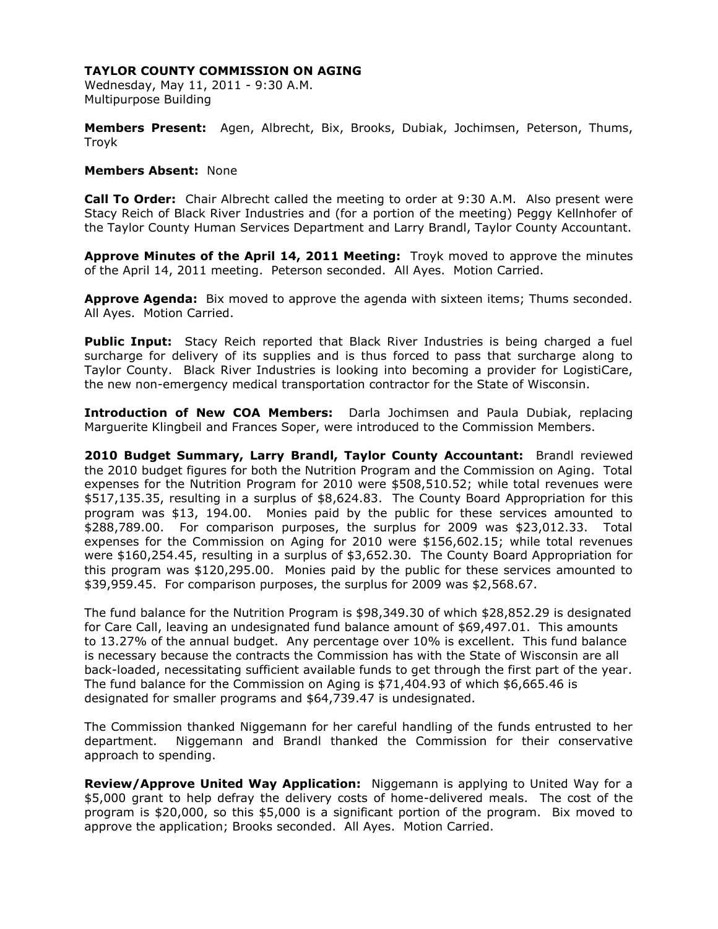Wednesday, May 11, 2011 - 9:30 A.M. Multipurpose Building

**Members Present:** Agen, Albrecht, Bix, Brooks, Dubiak, Jochimsen, Peterson, Thums, Troyk

### **Members Absent:** None

**Call To Order:** Chair Albrecht called the meeting to order at 9:30 A.M. Also present were Stacy Reich of Black River Industries and (for a portion of the meeting) Peggy Kellnhofer of the Taylor County Human Services Department and Larry Brandl, Taylor County Accountant.

**Approve Minutes of the April 14, 2011 Meeting:** Troyk moved to approve the minutes of the April 14, 2011 meeting. Peterson seconded. All Ayes. Motion Carried.

**Approve Agenda:** Bix moved to approve the agenda with sixteen items; Thums seconded. All Ayes. Motion Carried.

Public Input: Stacy Reich reported that Black River Industries is being charged a fuel surcharge for delivery of its supplies and is thus forced to pass that surcharge along to Taylor County. Black River Industries is looking into becoming a provider for LogistiCare, the new non-emergency medical transportation contractor for the State of Wisconsin.

**Introduction of New COA Members:** Darla Jochimsen and Paula Dubiak, replacing Marguerite Klingbeil and Frances Soper, were introduced to the Commission Members.

**2010 Budget Summary, Larry Brandl, Taylor County Accountant:** Brandl reviewed the 2010 budget figures for both the Nutrition Program and the Commission on Aging. Total expenses for the Nutrition Program for 2010 were \$508,510.52; while total revenues were \$517,135.35, resulting in a surplus of \$8,624.83. The County Board Appropriation for this program was \$13, 194.00. Monies paid by the public for these services amounted to \$288,789.00. For comparison purposes, the surplus for 2009 was \$23,012.33. Total expenses for the Commission on Aging for 2010 were \$156,602.15; while total revenues were \$160,254.45, resulting in a surplus of \$3,652.30. The County Board Appropriation for this program was \$120,295.00. Monies paid by the public for these services amounted to \$39,959.45. For comparison purposes, the surplus for 2009 was \$2,568.67.

The fund balance for the Nutrition Program is \$98,349.30 of which \$28,852.29 is designated for Care Call, leaving an undesignated fund balance amount of \$69,497.01. This amounts to 13.27% of the annual budget. Any percentage over 10% is excellent. This fund balance is necessary because the contracts the Commission has with the State of Wisconsin are all back-loaded, necessitating sufficient available funds to get through the first part of the year. The fund balance for the Commission on Aging is \$71,404.93 of which \$6,665.46 is designated for smaller programs and \$64,739.47 is undesignated.

The Commission thanked Niggemann for her careful handling of the funds entrusted to her department. Niggemann and Brandl thanked the Commission for their conservative approach to spending.

**Review/Approve United Way Application:** Niggemann is applying to United Way for a \$5,000 grant to help defray the delivery costs of home-delivered meals. The cost of the program is \$20,000, so this \$5,000 is a significant portion of the program. Bix moved to approve the application; Brooks seconded. All Ayes. Motion Carried.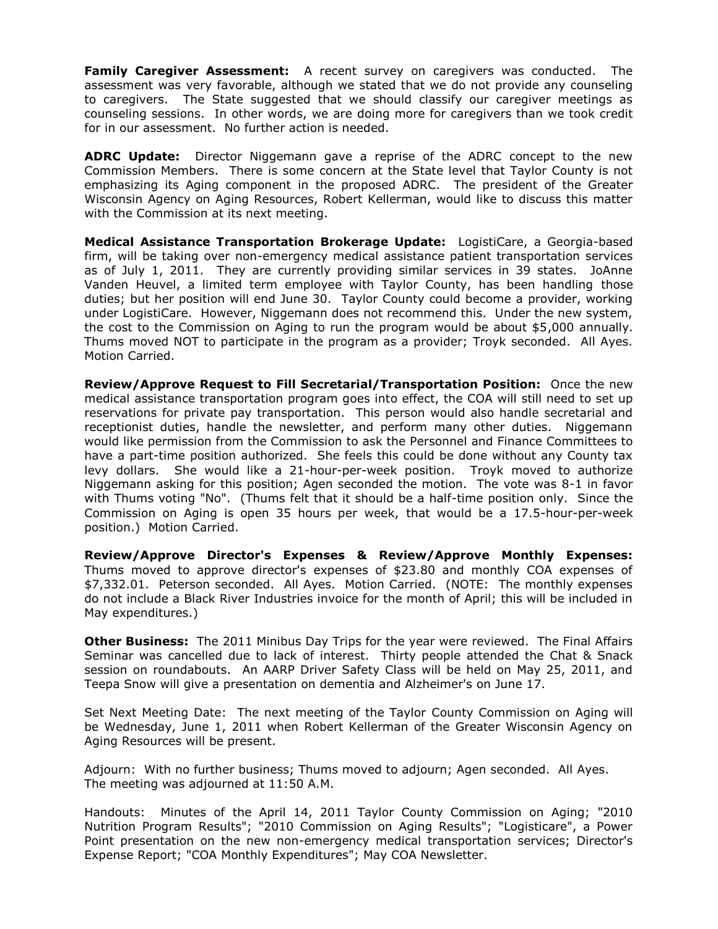**Family Caregiver Assessment:** A recent survey on caregivers was conducted. The assessment was very favorable, although we stated that we do not provide any counseling to caregivers. The State suggested that we should classify our caregiver meetings as counseling sessions. In other words, we are doing more for caregivers than we took credit for in our assessment. No further action is needed.

**ADRC Update:** Director Niggemann gave a reprise of the ADRC concept to the new Commission Members. There is some concern at the State level that Taylor County is not emphasizing its Aging component in the proposed ADRC. The president of the Greater Wisconsin Agency on Aging Resources, Robert Kellerman, would like to discuss this matter with the Commission at its next meeting.

**Medical Assistance Transportation Brokerage Update:** LogistiCare, a Georgia-based firm, will be taking over non-emergency medical assistance patient transportation services as of July 1, 2011. They are currently providing similar services in 39 states. JoAnne Vanden Heuvel, a limited term employee with Taylor County, has been handling those duties; but her position will end June 30. Taylor County could become a provider, working under LogistiCare. However, Niggemann does not recommend this. Under the new system, the cost to the Commission on Aging to run the program would be about \$5,000 annually. Thums moved NOT to participate in the program as a provider; Troyk seconded. All Ayes. Motion Carried.

**Review/Approve Request to Fill Secretarial/Transportation Position:** Once the new medical assistance transportation program goes into effect, the COA will still need to set up reservations for private pay transportation. This person would also handle secretarial and receptionist duties, handle the newsletter, and perform many other duties. Niggemann would like permission from the Commission to ask the Personnel and Finance Committees to have a part-time position authorized. She feels this could be done without any County tax levy dollars. She would like a 21-hour-per-week position. Troyk moved to authorize Niggemann asking for this position; Agen seconded the motion. The vote was 8-1 in favor with Thums voting "No". (Thums felt that it should be a half-time position only. Since the Commission on Aging is open 35 hours per week, that would be a 17.5-hour-per-week position.) Motion Carried.

**Review/Approve Director's Expenses & Review/Approve Monthly Expenses:**  Thums moved to approve director's expenses of \$23.80 and monthly COA expenses of \$7,332.01. Peterson seconded. All Ayes. Motion Carried. (NOTE: The monthly expenses do not include a Black River Industries invoice for the month of April; this will be included in May expenditures.)

**Other Business:** The 2011 Minibus Day Trips for the year were reviewed. The Final Affairs Seminar was cancelled due to lack of interest. Thirty people attended the Chat & Snack session on roundabouts. An AARP Driver Safety Class will be held on May 25, 2011, and Teepa Snow will give a presentation on dementia and Alzheimer's on June 17.

Set Next Meeting Date: The next meeting of the Taylor County Commission on Aging will be Wednesday, June 1, 2011 when Robert Kellerman of the Greater Wisconsin Agency on Aging Resources will be present.

Adjourn: With no further business; Thums moved to adjourn; Agen seconded. All Ayes. The meeting was adjourned at 11:50 A.M.

Handouts: Minutes of the April 14, 2011 Taylor County Commission on Aging; "2010 Nutrition Program Results"; "2010 Commission on Aging Results"; "Logisticare", a Power Point presentation on the new non-emergency medical transportation services; Director's Expense Report; "COA Monthly Expenditures"; May COA Newsletter.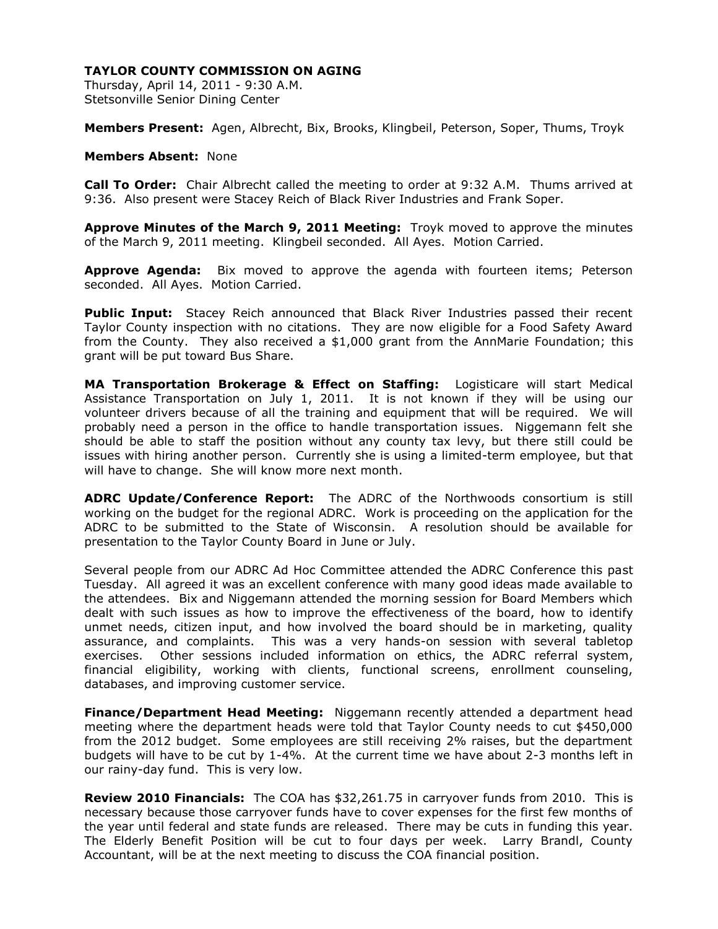Thursday, April 14, 2011 - 9:30 A.M. Stetsonville Senior Dining Center

**Members Present:** Agen, Albrecht, Bix, Brooks, Klingbeil, Peterson, Soper, Thums, Troyk

### **Members Absent:** None

**Call To Order:** Chair Albrecht called the meeting to order at 9:32 A.M. Thums arrived at 9:36. Also present were Stacey Reich of Black River Industries and Frank Soper.

**Approve Minutes of the March 9, 2011 Meeting:** Troyk moved to approve the minutes of the March 9, 2011 meeting. Klingbeil seconded. All Ayes. Motion Carried.

**Approve Agenda:** Bix moved to approve the agenda with fourteen items; Peterson seconded. All Ayes. Motion Carried.

**Public Input:** Stacey Reich announced that Black River Industries passed their recent Taylor County inspection with no citations. They are now eligible for a Food Safety Award from the County. They also received a \$1,000 grant from the AnnMarie Foundation; this grant will be put toward Bus Share.

**MA Transportation Brokerage & Effect on Staffing:** Logisticare will start Medical Assistance Transportation on July 1, 2011. It is not known if they will be using our volunteer drivers because of all the training and equipment that will be required. We will probably need a person in the office to handle transportation issues. Niggemann felt she should be able to staff the position without any county tax levy, but there still could be issues with hiring another person. Currently she is using a limited-term employee, but that will have to change. She will know more next month.

**ADRC Update/Conference Report:** The ADRC of the Northwoods consortium is still working on the budget for the regional ADRC. Work is proceeding on the application for the ADRC to be submitted to the State of Wisconsin. A resolution should be available for presentation to the Taylor County Board in June or July.

Several people from our ADRC Ad Hoc Committee attended the ADRC Conference this past Tuesday. All agreed it was an excellent conference with many good ideas made available to the attendees. Bix and Niggemann attended the morning session for Board Members which dealt with such issues as how to improve the effectiveness of the board, how to identify unmet needs, citizen input, and how involved the board should be in marketing, quality assurance, and complaints. This was a very hands-on session with several tabletop exercises. Other sessions included information on ethics, the ADRC referral system, financial eligibility, working with clients, functional screens, enrollment counseling, databases, and improving customer service.

**Finance/Department Head Meeting:** Niggemann recently attended a department head meeting where the department heads were told that Taylor County needs to cut \$450,000 from the 2012 budget. Some employees are still receiving 2% raises, but the department budgets will have to be cut by 1-4%. At the current time we have about 2-3 months left in our rainy-day fund. This is very low.

**Review 2010 Financials:** The COA has \$32,261.75 in carryover funds from 2010. This is necessary because those carryover funds have to cover expenses for the first few months of the year until federal and state funds are released. There may be cuts in funding this year. The Elderly Benefit Position will be cut to four days per week. Larry Brandl, County Accountant, will be at the next meeting to discuss the COA financial position.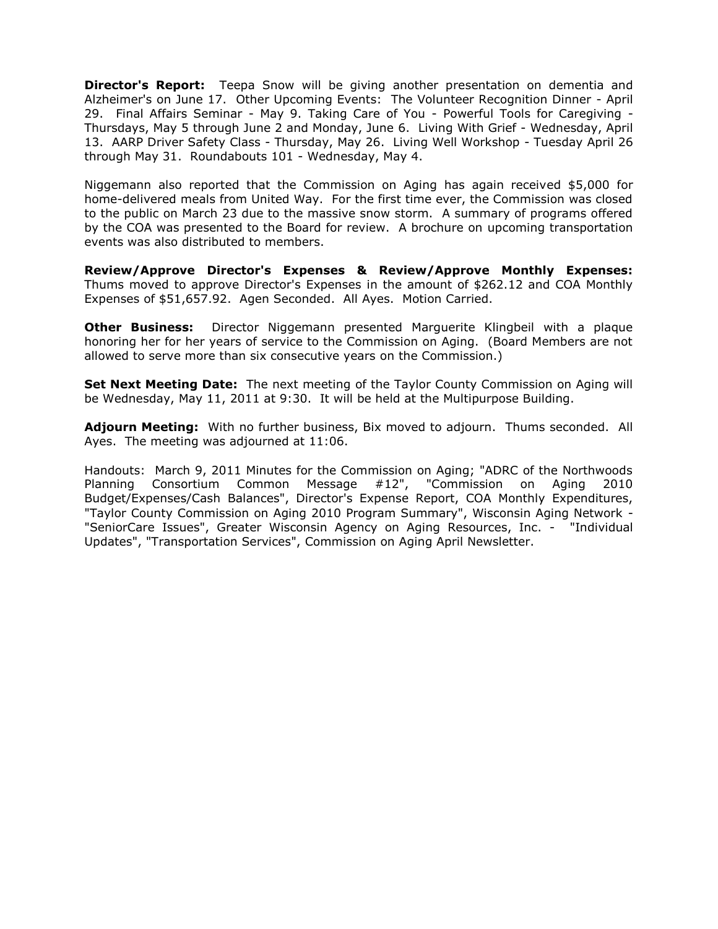**Director's Report:** Teepa Snow will be giving another presentation on dementia and Alzheimer's on June 17. Other Upcoming Events: The Volunteer Recognition Dinner - April 29. Final Affairs Seminar - May 9. Taking Care of You - Powerful Tools for Caregiving - Thursdays, May 5 through June 2 and Monday, June 6. Living With Grief - Wednesday, April 13. AARP Driver Safety Class - Thursday, May 26. Living Well Workshop - Tuesday April 26 through May 31. Roundabouts 101 - Wednesday, May 4.

Niggemann also reported that the Commission on Aging has again received \$5,000 for home-delivered meals from United Way. For the first time ever, the Commission was closed to the public on March 23 due to the massive snow storm. A summary of programs offered by the COA was presented to the Board for review. A brochure on upcoming transportation events was also distributed to members.

**Review/Approve Director's Expenses & Review/Approve Monthly Expenses:**  Thums moved to approve Director's Expenses in the amount of \$262.12 and COA Monthly Expenses of \$51,657.92. Agen Seconded. All Ayes. Motion Carried.

**Other Business:** Director Niggemann presented Marguerite Klingbeil with a plaque honoring her for her years of service to the Commission on Aging. (Board Members are not allowed to serve more than six consecutive years on the Commission.)

**Set Next Meeting Date:** The next meeting of the Taylor County Commission on Aging will be Wednesday, May 11, 2011 at 9:30. It will be held at the Multipurpose Building.

**Adjourn Meeting:** With no further business, Bix moved to adjourn. Thums seconded. All Ayes. The meeting was adjourned at 11:06.

Handouts: March 9, 2011 Minutes for the Commission on Aging; "ADRC of the Northwoods Planning Consortium Common Message #12", "Commission on Aging 2010 Budget/Expenses/Cash Balances", Director's Expense Report, COA Monthly Expenditures, "Taylor County Commission on Aging 2010 Program Summary", Wisconsin Aging Network - "SeniorCare Issues", Greater Wisconsin Agency on Aging Resources, Inc. - "Individual Updates", "Transportation Services", Commission on Aging April Newsletter.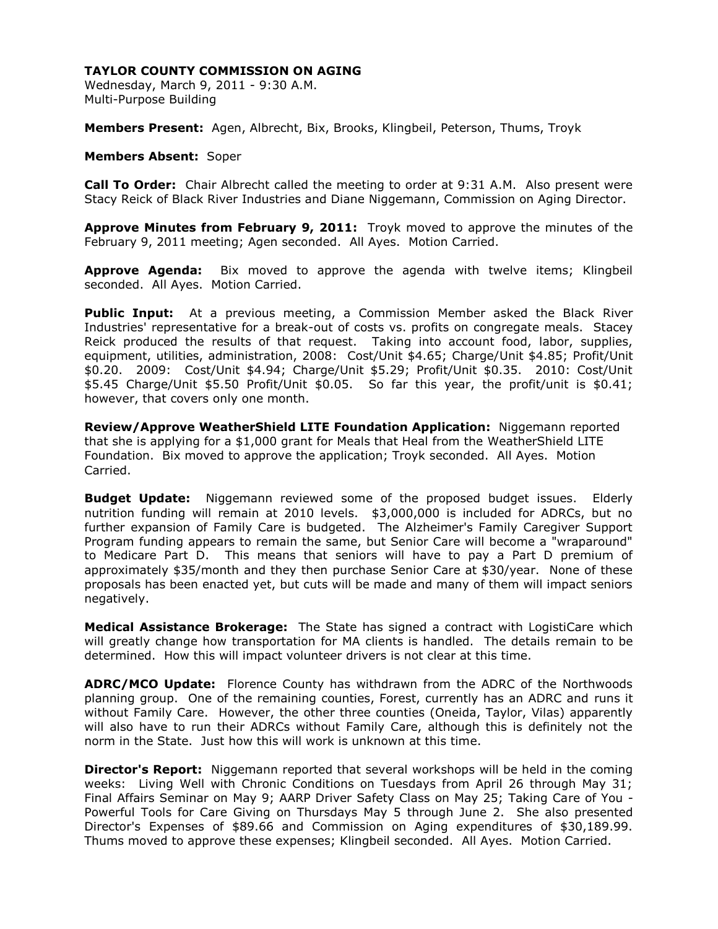Wednesday, March 9, 2011 - 9:30 A.M. Multi-Purpose Building

**Members Present:** Agen, Albrecht, Bix, Brooks, Klingbeil, Peterson, Thums, Troyk

#### **Members Absent:** Soper

**Call To Order:** Chair Albrecht called the meeting to order at 9:31 A.M. Also present were Stacy Reick of Black River Industries and Diane Niggemann, Commission on Aging Director.

**Approve Minutes from February 9, 2011:** Troyk moved to approve the minutes of the February 9, 2011 meeting; Agen seconded. All Ayes. Motion Carried.

**Approve Agenda:** Bix moved to approve the agenda with twelve items; Klingbeil seconded. All Ayes. Motion Carried.

**Public Input:** At a previous meeting, a Commission Member asked the Black River Industries' representative for a break-out of costs vs. profits on congregate meals. Stacey Reick produced the results of that request. Taking into account food, labor, supplies, equipment, utilities, administration, 2008: Cost/Unit \$4.65; Charge/Unit \$4.85; Profit/Unit \$0.20. 2009: Cost/Unit \$4.94; Charge/Unit \$5.29; Profit/Unit \$0.35. 2010: Cost/Unit \$5.45 Charge/Unit \$5.50 Profit/Unit \$0.05. So far this year, the profit/unit is \$0.41; however, that covers only one month.

**Review/Approve WeatherShield LITE Foundation Application:** Niggemann reported that she is applying for a \$1,000 grant for Meals that Heal from the WeatherShield LITE Foundation. Bix moved to approve the application; Troyk seconded. All Ayes. Motion Carried.

**Budget Update:** Niggemann reviewed some of the proposed budget issues. Elderly nutrition funding will remain at 2010 levels. \$3,000,000 is included for ADRCs, but no further expansion of Family Care is budgeted. The Alzheimer's Family Caregiver Support Program funding appears to remain the same, but Senior Care will become a "wraparound" to Medicare Part D. This means that seniors will have to pay a Part D premium of approximately \$35/month and they then purchase Senior Care at \$30/year. None of these proposals has been enacted yet, but cuts will be made and many of them will impact seniors negatively.

**Medical Assistance Brokerage:** The State has signed a contract with LogistiCare which will greatly change how transportation for MA clients is handled. The details remain to be determined. How this will impact volunteer drivers is not clear at this time.

**ADRC/MCO Update:** Florence County has withdrawn from the ADRC of the Northwoods planning group. One of the remaining counties, Forest, currently has an ADRC and runs it without Family Care. However, the other three counties (Oneida, Taylor, Vilas) apparently will also have to run their ADRCs without Family Care, although this is definitely not the norm in the State. Just how this will work is unknown at this time.

**Director's Report:** Niggemann reported that several workshops will be held in the coming weeks: Living Well with Chronic Conditions on Tuesdays from April 26 through May 31; Final Affairs Seminar on May 9; AARP Driver Safety Class on May 25; Taking Care of You - Powerful Tools for Care Giving on Thursdays May 5 through June 2. She also presented Director's Expenses of \$89.66 and Commission on Aging expenditures of \$30,189.99. Thums moved to approve these expenses; Klingbeil seconded. All Ayes. Motion Carried.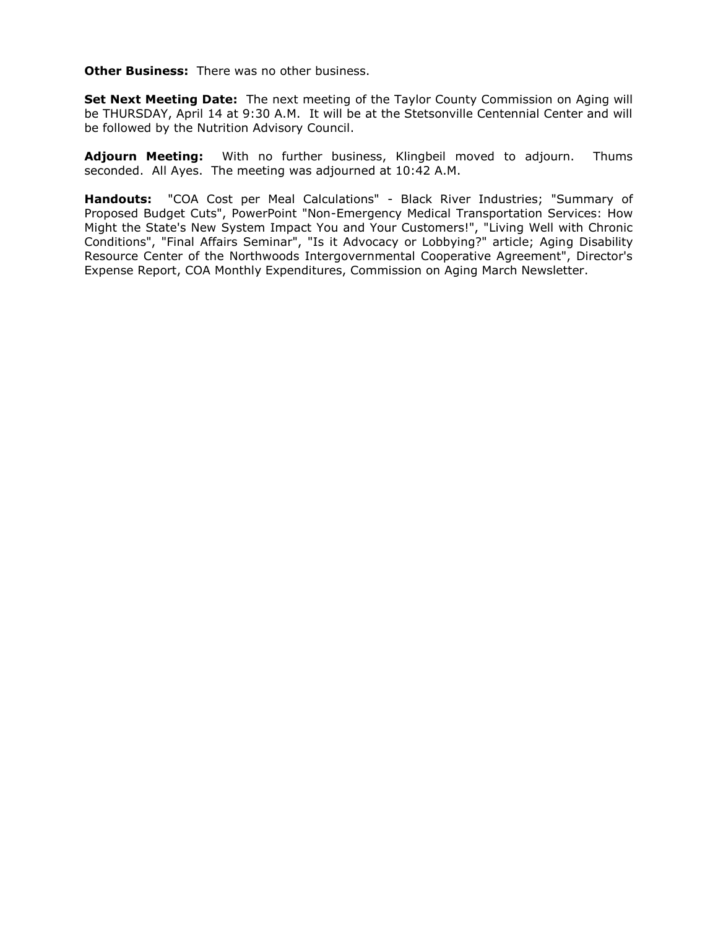**Other Business:** There was no other business.

**Set Next Meeting Date:** The next meeting of the Taylor County Commission on Aging will be THURSDAY, April 14 at 9:30 A.M. It will be at the Stetsonville Centennial Center and will be followed by the Nutrition Advisory Council.

**Adjourn Meeting:** With no further business, Klingbeil moved to adjourn. Thums seconded. All Ayes. The meeting was adjourned at 10:42 A.M.

**Handouts:** "COA Cost per Meal Calculations" - Black River Industries; "Summary of Proposed Budget Cuts", PowerPoint "Non-Emergency Medical Transportation Services: How Might the State's New System Impact You and Your Customers!", "Living Well with Chronic Conditions", "Final Affairs Seminar", "Is it Advocacy or Lobbying?" article; Aging Disability Resource Center of the Northwoods Intergovernmental Cooperative Agreement", Director's Expense Report, COA Monthly Expenditures, Commission on Aging March Newsletter.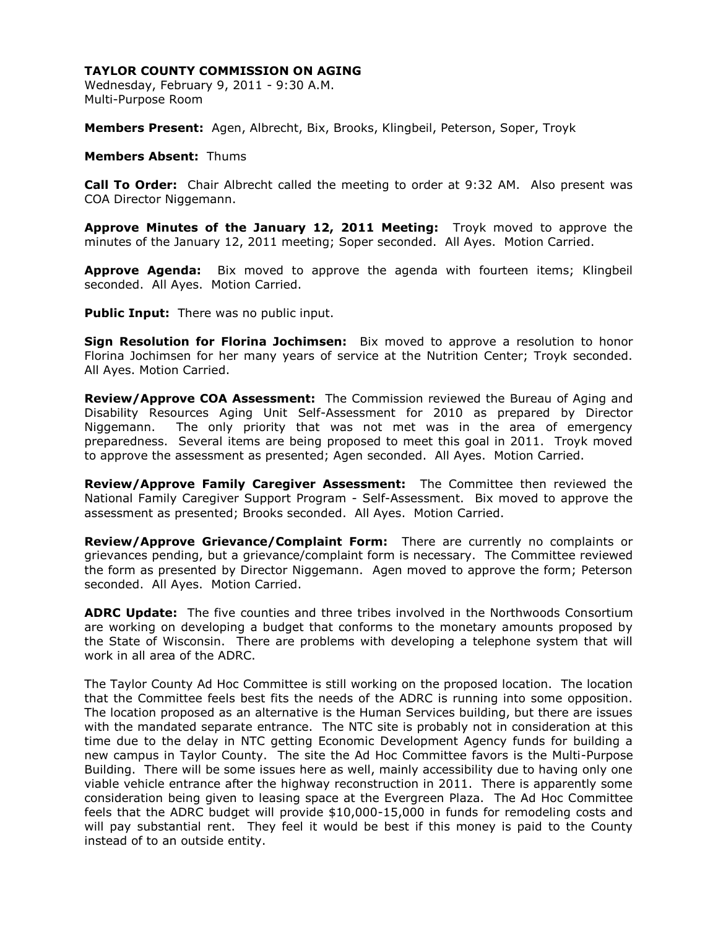Wednesday, February 9, 2011 - 9:30 A.M. Multi-Purpose Room

**Members Present:** Agen, Albrecht, Bix, Brooks, Klingbeil, Peterson, Soper, Troyk

### **Members Absent:** Thums

**Call To Order:** Chair Albrecht called the meeting to order at 9:32 AM. Also present was COA Director Niggemann.

**Approve Minutes of the January 12, 2011 Meeting:** Troyk moved to approve the minutes of the January 12, 2011 meeting; Soper seconded. All Ayes. Motion Carried.

**Approve Agenda:** Bix moved to approve the agenda with fourteen items; Klingbeil seconded. All Ayes. Motion Carried.

**Public Input:** There was no public input.

**Sign Resolution for Florina Jochimsen:** Bix moved to approve a resolution to honor Florina Jochimsen for her many years of service at the Nutrition Center; Troyk seconded. All Ayes. Motion Carried.

**Review/Approve COA Assessment:** The Commission reviewed the Bureau of Aging and Disability Resources Aging Unit Self-Assessment for 2010 as prepared by Director Niggemann. The only priority that was not met was in the area of emergency preparedness. Several items are being proposed to meet this goal in 2011. Troyk moved to approve the assessment as presented; Agen seconded. All Ayes. Motion Carried.

**Review/Approve Family Caregiver Assessment:** The Committee then reviewed the National Family Caregiver Support Program - Self-Assessment. Bix moved to approve the assessment as presented; Brooks seconded. All Ayes. Motion Carried.

**Review/Approve Grievance/Complaint Form:** There are currently no complaints or grievances pending, but a grievance/complaint form is necessary. The Committee reviewed the form as presented by Director Niggemann. Agen moved to approve the form; Peterson seconded. All Ayes. Motion Carried.

**ADRC Update:** The five counties and three tribes involved in the Northwoods Consortium are working on developing a budget that conforms to the monetary amounts proposed by the State of Wisconsin. There are problems with developing a telephone system that will work in all area of the ADRC.

The Taylor County Ad Hoc Committee is still working on the proposed location. The location that the Committee feels best fits the needs of the ADRC is running into some opposition. The location proposed as an alternative is the Human Services building, but there are issues with the mandated separate entrance. The NTC site is probably not in consideration at this time due to the delay in NTC getting Economic Development Agency funds for building a new campus in Taylor County. The site the Ad Hoc Committee favors is the Multi-Purpose Building. There will be some issues here as well, mainly accessibility due to having only one viable vehicle entrance after the highway reconstruction in 2011. There is apparently some consideration being given to leasing space at the Evergreen Plaza. The Ad Hoc Committee feels that the ADRC budget will provide \$10,000-15,000 in funds for remodeling costs and will pay substantial rent. They feel it would be best if this money is paid to the County instead of to an outside entity.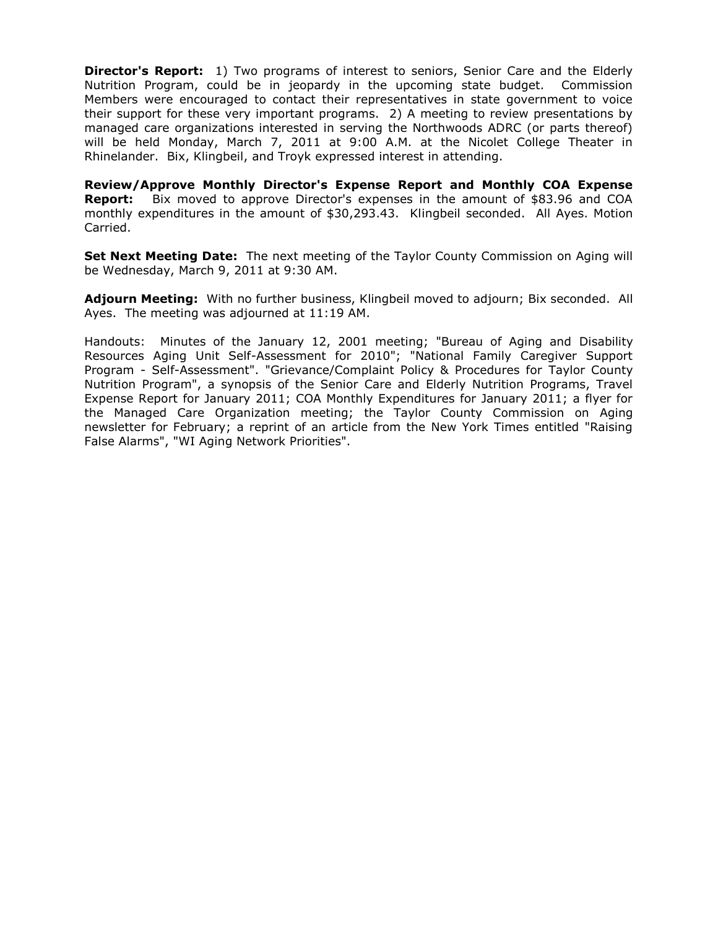**Director's Report:** 1) Two programs of interest to seniors, Senior Care and the Elderly Nutrition Program, could be in jeopardy in the upcoming state budget. Commission Members were encouraged to contact their representatives in state government to voice their support for these very important programs. 2) A meeting to review presentations by managed care organizations interested in serving the Northwoods ADRC (or parts thereof) will be held Monday, March 7, 2011 at 9:00 A.M. at the Nicolet College Theater in Rhinelander. Bix, Klingbeil, and Troyk expressed interest in attending.

**Review/Approve Monthly Director's Expense Report and Monthly COA Expense Report:** Bix moved to approve Director's expenses in the amount of \$83.96 and COA monthly expenditures in the amount of \$30,293.43. Klingbeil seconded. All Ayes. Motion Carried.

**Set Next Meeting Date:** The next meeting of the Taylor County Commission on Aging will be Wednesday, March 9, 2011 at 9:30 AM.

**Adjourn Meeting:** With no further business, Klingbeil moved to adjourn; Bix seconded. All Ayes. The meeting was adjourned at 11:19 AM.

Handouts: Minutes of the January 12, 2001 meeting; "Bureau of Aging and Disability Resources Aging Unit Self-Assessment for 2010"; "National Family Caregiver Support Program - Self-Assessment". "Grievance/Complaint Policy & Procedures for Taylor County Nutrition Program", a synopsis of the Senior Care and Elderly Nutrition Programs, Travel Expense Report for January 2011; COA Monthly Expenditures for January 2011; a flyer for the Managed Care Organization meeting; the Taylor County Commission on Aging newsletter for February; a reprint of an article from the New York Times entitled "Raising False Alarms", "WI Aging Network Priorities".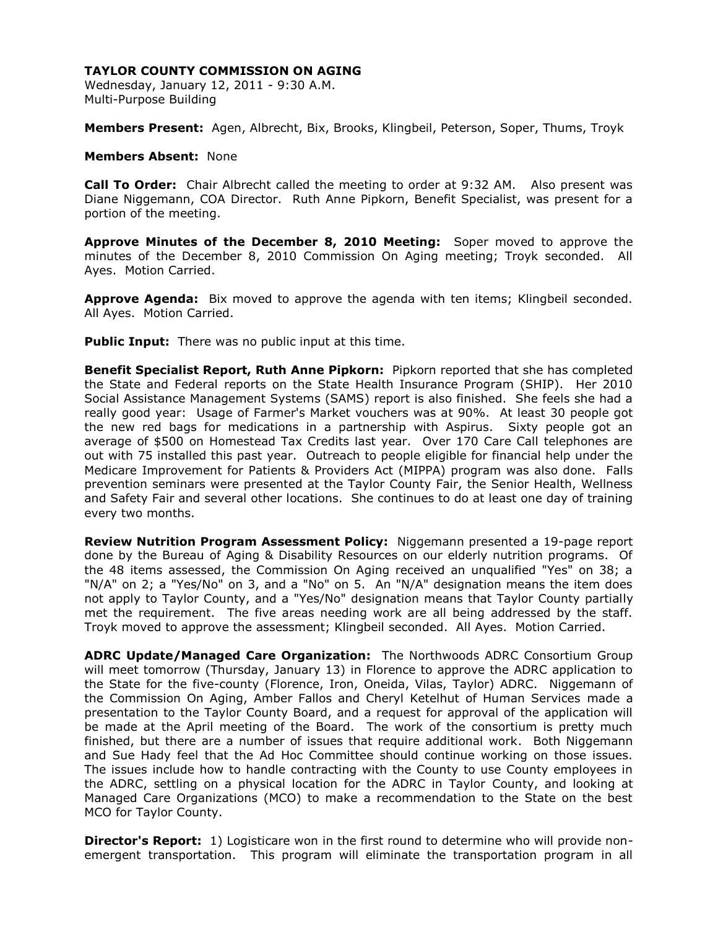Wednesday, January 12, 2011 - 9:30 A.M. Multi-Purpose Building

**Members Present:** Agen, Albrecht, Bix, Brooks, Klingbeil, Peterson, Soper, Thums, Troyk

#### **Members Absent:** None

**Call To Order:** Chair Albrecht called the meeting to order at 9:32 AM. Also present was Diane Niggemann, COA Director. Ruth Anne Pipkorn, Benefit Specialist, was present for a portion of the meeting.

**Approve Minutes of the December 8, 2010 Meeting:** Soper moved to approve the minutes of the December 8, 2010 Commission On Aging meeting; Troyk seconded. All Ayes. Motion Carried.

**Approve Agenda:** Bix moved to approve the agenda with ten items; Klingbeil seconded. All Ayes. Motion Carried.

**Public Input:** There was no public input at this time.

**Benefit Specialist Report, Ruth Anne Pipkorn:** Pipkorn reported that she has completed the State and Federal reports on the State Health Insurance Program (SHIP). Her 2010 Social Assistance Management Systems (SAMS) report is also finished. She feels she had a really good year: Usage of Farmer's Market vouchers was at 90%. At least 30 people got the new red bags for medications in a partnership with Aspirus. Sixty people got an average of \$500 on Homestead Tax Credits last year. Over 170 Care Call telephones are out with 75 installed this past year. Outreach to people eligible for financial help under the Medicare Improvement for Patients & Providers Act (MIPPA) program was also done. Falls prevention seminars were presented at the Taylor County Fair, the Senior Health, Wellness and Safety Fair and several other locations. She continues to do at least one day of training every two months.

**Review Nutrition Program Assessment Policy:** Niggemann presented a 19-page report done by the Bureau of Aging & Disability Resources on our elderly nutrition programs. Of the 48 items assessed, the Commission On Aging received an unqualified "Yes" on 38; a "N/A" on 2; a "Yes/No" on 3, and a "No" on 5. An "N/A" designation means the item does not apply to Taylor County, and a "Yes/No" designation means that Taylor County partially met the requirement. The five areas needing work are all being addressed by the staff. Troyk moved to approve the assessment; Klingbeil seconded. All Ayes. Motion Carried.

**ADRC Update/Managed Care Organization:** The Northwoods ADRC Consortium Group will meet tomorrow (Thursday, January 13) in Florence to approve the ADRC application to the State for the five-county (Florence, Iron, Oneida, Vilas, Taylor) ADRC. Niggemann of the Commission On Aging, Amber Fallos and Cheryl Ketelhut of Human Services made a presentation to the Taylor County Board, and a request for approval of the application will be made at the April meeting of the Board. The work of the consortium is pretty much finished, but there are a number of issues that require additional work. Both Niggemann and Sue Hady feel that the Ad Hoc Committee should continue working on those issues. The issues include how to handle contracting with the County to use County employees in the ADRC, settling on a physical location for the ADRC in Taylor County, and looking at Managed Care Organizations (MCO) to make a recommendation to the State on the best MCO for Taylor County.

**Director's Report:** 1) Logisticare won in the first round to determine who will provide nonemergent transportation. This program will eliminate the transportation program in all